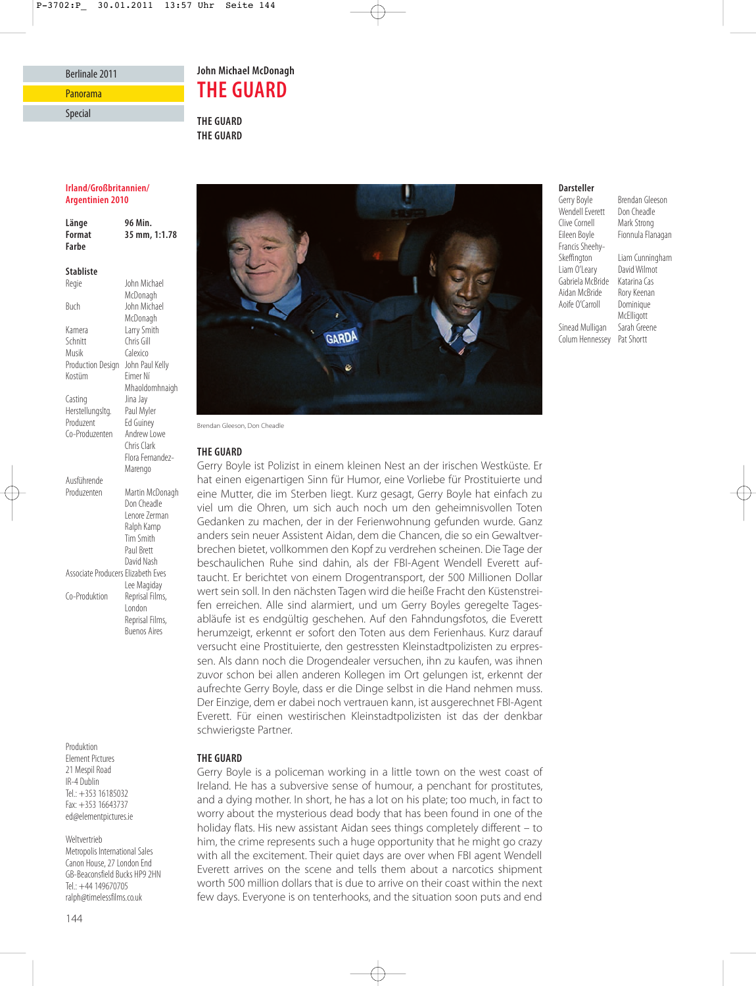## Berlinale 2011

Panorama

### Special

**John Michael McDonagh THE GUARD**

**THE GUARD THE GUARD**

## **Irland/Großbritannien/ Argentinien 2010**

| Länge<br>Format<br>Farbe | 96 Min.<br>35 mm, 1:1.78 |
|--------------------------|--------------------------|
| <b>Stabliste</b>         |                          |
| Regie                    | John Michael             |
|                          | McDonagh                 |
| Buch                     | John Michael             |
|                          | McDonagh                 |
| Kamera                   | Larry Smith              |
| Schnitt                  | Chris Gill               |
| Musik                    | Calexico                 |
| Production Design        | John Paul Kelly          |

Kostüm Eimer Ní

Mhaoldomhnaigh

Casting Jina Jay<br>Herstellungsltg. Paul Myler Herstellungsltg.<br>Produzent **Ed Guiney** Co-Produzenten Andrew Lowe Chris Clark Flora Fernandez-Marengo Ausführende Produzenten Martin McDonagh Don Cheadle Lenore Zerman Ralph Kamp Tim Smith Paul Brett David Nash Associate Producers Elizabeth Eves Lee Magiday Co-Produktion Reprisal Films, London Reprisal Films, Buenos Aires

Produktion Element Pictures 21 Mespil Road IR-4 Dublin Tel.: +353 16185032 Fax: +353 16643737 ed@elementpictures.ie

## Weltvertrieb

144

Metropolis International Sales Canon House, 27 London End GB-Beaconsfield Bucks HP9 2HN Tel.: +44 149670705 ralph@timelessfilms.co.uk



Brendan Gleeson, Don Cheadle

## **THE GUARD**

Gerry Boyle ist Polizist in einem kleinen Nest an der irischen Westküste. Er hat einen eigenartigen Sinn für Humor, eine Vorliebe für Prostituierte und eine Mutter, die im Sterben liegt. Kurz gesagt, Gerry Boyle hat einfach zu viel um die Ohren, um sich auch noch um den geheimnisvollen Toten Gedanken zu machen, der in der Ferienwohnung gefunden wurde. Ganz anders sein neuer Assistent Aidan, dem die Chancen, die so ein Gewaltverbrechen bietet, vollkommen den Kopf zu verdrehen scheinen. Die Tage der beschaulichen Ruhe sind dahin, als der FBI-Agent Wendell Everett auftaucht. Er berichtet von einem Drogentransport, der 500 Millionen Dollar wert sein soll. In den nächsten Tagen wird die heiße Fracht den Küstenstrei fen erreichen. Alle sind alarmiert, und um Gerry Boyles geregelte Tagesabläufe ist es endgültig geschehen. Auf den Fahndungsfotos, die Everett herumzeigt, erkennt er sofort den Toten aus dem Ferienhaus. Kurz darauf versucht eine Prostituierte, den gestressten Kleinstadtpolizisten zu erpressen. Als dann noch die Drogendealer versuchen, ihn zu kaufen, was ihnen zuvor schon bei allen anderen Kollegen im Ort gelungen ist, erkennt der aufrechte Gerry Boyle, dass er die Dinge selbst in die Hand nehmen muss. Der Einzige, dem er dabei noch vertrauen kann, ist ausgerechnet FBI-Agent Everett. Für einen westirischen Kleinstadtpolizisten ist das der denkbar schwierigste Partner.

# **THE GUARD**

Gerry Boyle is a policeman working in a little town on the west coast of Ireland. He has a subversive sense of humour, a penchant for prostitutes, and a dying mother. In short, he has a lot on his plate; too much, in fact to worry about the mysterious dead body that has been found in one of the holiday flats. His new assistant Aidan sees things completely different – to him, the crime represents such a huge opportunity that he might go crazy with all the excitement. Their quiet days are over when FBI agent Wendell Everett arrives on the scene and tells them about a narcotics shipment worth 500 million dollars that is due to arrive on their coast within the next few days. Everyone is on tenterhooks, and the situation soon puts and end

## **Darsteller**

Wendell Everett Don Cheadle<br>Clive Cornell Mark Strong Clive Cornell<br>Eileen Boyle Francis Sheehy-Liam O'Leary Aoife  $O'$ Carroll

Gerry Boyle Brendan Gleeson<br>Wendell Everett Don Cheadle Fionnula Flanagan

Liam Cunningham<br>David Wilmot Gabriela McBride Katarina Cas Aidan McBride Rory Keenan<br>Aoife O'Carroll Dominique McElligott<br>Sarah Greene Sinead Mulligan Colum Hennessey Pat Shortt